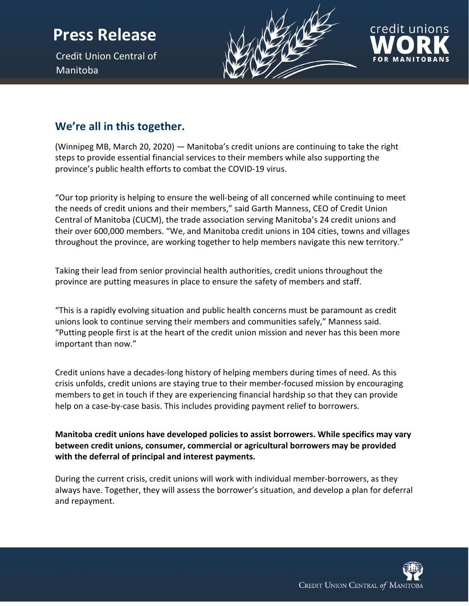## **Press Release**

Credit Union Central of Manitoba





## **We're all in this together.**

(Winnipeg MB, March 20, 2020) — Manitoba's credit unions are continuing to take the right steps to provide essential financial services to their members while also supporting the province's public health efforts to combat the COVID-19 virus.

"Our top priority is helping to ensure the well-being of all concerned while continuing to meet the needs of credit unions and their members," said Garth Manness, CEO of Credit Union Central of Manitoba (CUCM), the trade association serving Manitoba's 24 credit unions and their over 600,000 members. "We, and Manitoba credit unions in 104 cities, towns and villages throughout the province, are working together to help members navigate this new territory."

Taking their lead from senior provincial health authorities, credit unions throughout the province are putting measures in place to ensure the safety of members and staff.

"This is a rapidly evolving situation and public health concerns must be paramount as credit unions look to continue serving their members and communities safely," Manness said. "Putting people first is at the heart of the credit union mission and never has this been more important than now."

Credit unions have a decades-long history of helping members during times of need. As this crisis unfolds, credit unions are staying true to their member-focused mission by encouraging members to get in touch if they are experiencing financial hardship so that they can provide help on a case-by-case basis. This includes providing payment relief to borrowers.

**Manitoba credit unions have developed policies to assist borrowers. While specifics may vary between credit unions, consumer, commercial or agricultural borrowers may be provided with the deferral of principal and interest payments.** 

During the current crisis, credit unions will work with individual member-borrowers, as they always have. Together, they will assess the borrower's situation, and develop a plan for deferral and repayment.